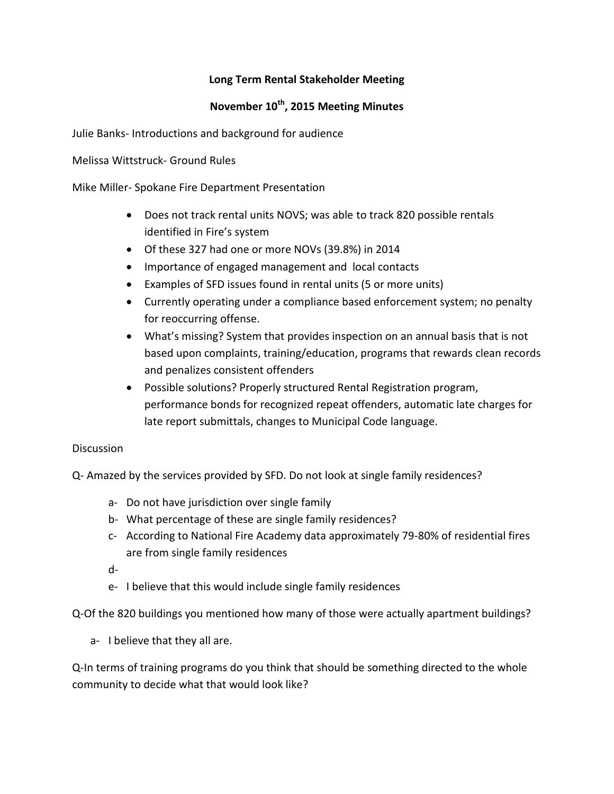## **Long Term Rental Stakeholder Meeting**

## **November 10th, 2015 Meeting Minutes**

Julie Banks- Introductions and background for audience

Melissa Wittstruck- Ground Rules

Mike Miller- Spokane Fire Department Presentation

- Does not track rental units NOVS; was able to track 820 possible rentals identified in Fire's system
- Of these 327 had one or more NOVs (39.8%) in 2014
- Importance of engaged management and local contacts
- Examples of SFD issues found in rental units (5 or more units)
- Currently operating under a compliance based enforcement system; no penalty for reoccurring offense.
- What's missing? System that provides inspection on an annual basis that is not based upon complaints, training/education, programs that rewards clean records and penalizes consistent offenders
- Possible solutions? Properly structured Rental Registration program, performance bonds for recognized repeat offenders, automatic late charges for late report submittals, changes to Municipal Code language.

## **Discussion**

Q- Amazed by the services provided by SFD. Do not look at single family residences?

- a- Do not have jurisdiction over single family
- b- What percentage of these are single family residences?
- c- According to National Fire Academy data approximately 79-80% of residential fires are from single family residences
- d-
- e- I believe that this would include single family residences

Q-Of the 820 buildings you mentioned how many of those were actually apartment buildings?

a- I believe that they all are.

Q-In terms of training programs do you think that should be something directed to the whole community to decide what that would look like?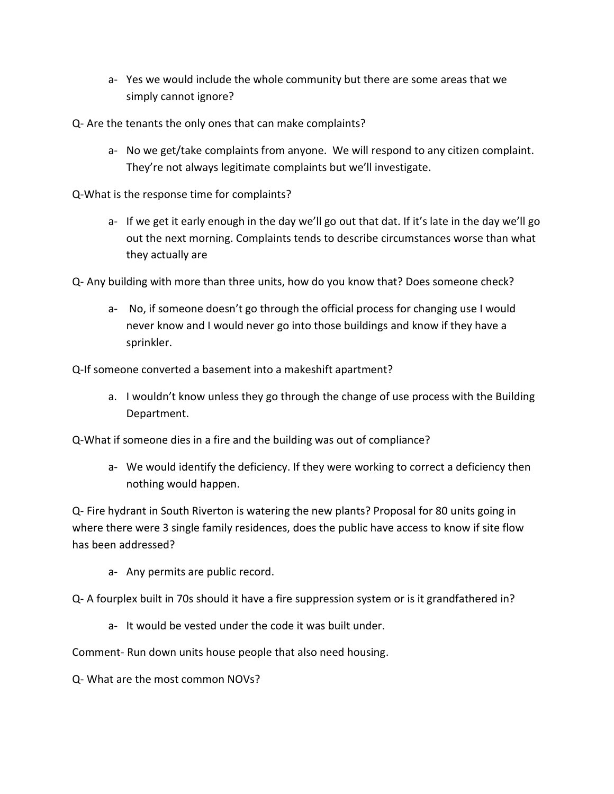- a- Yes we would include the whole community but there are some areas that we simply cannot ignore?
- Q- Are the tenants the only ones that can make complaints?
	- a- No we get/take complaints from anyone. We will respond to any citizen complaint. They're not always legitimate complaints but we'll investigate.
- Q-What is the response time for complaints?
	- a- If we get it early enough in the day we'll go out that dat. If it's late in the day we'll go out the next morning. Complaints tends to describe circumstances worse than what they actually are
- Q- Any building with more than three units, how do you know that? Does someone check?
	- a- No, if someone doesn't go through the official process for changing use I would never know and I would never go into those buildings and know if they have a sprinkler.

Q-If someone converted a basement into a makeshift apartment?

a. I wouldn't know unless they go through the change of use process with the Building Department.

Q-What if someone dies in a fire and the building was out of compliance?

a- We would identify the deficiency. If they were working to correct a deficiency then nothing would happen.

Q- Fire hydrant in South Riverton is watering the new plants? Proposal for 80 units going in where there were 3 single family residences, does the public have access to know if site flow has been addressed?

a- Any permits are public record.

Q- A fourplex built in 70s should it have a fire suppression system or is it grandfathered in?

a- It would be vested under the code it was built under.

Comment- Run down units house people that also need housing.

Q- What are the most common NOVs?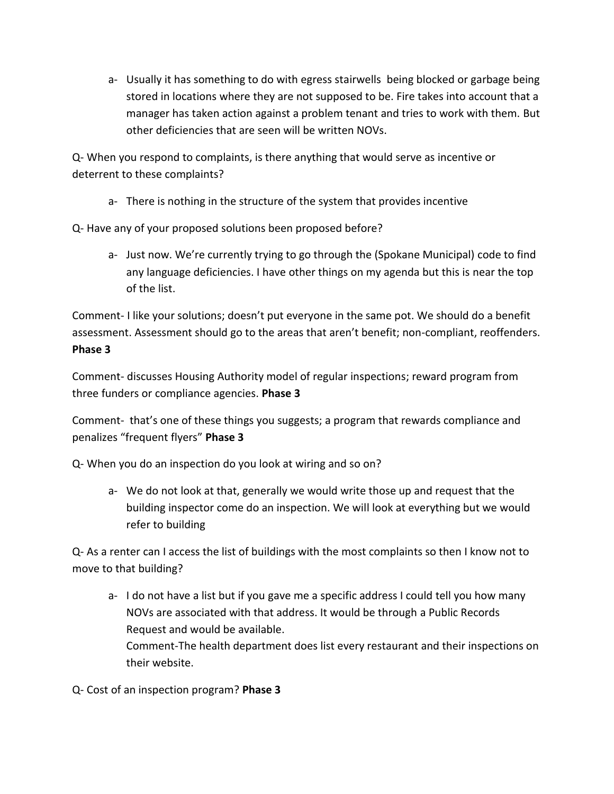a- Usually it has something to do with egress stairwells being blocked or garbage being stored in locations where they are not supposed to be. Fire takes into account that a manager has taken action against a problem tenant and tries to work with them. But other deficiencies that are seen will be written NOVs.

Q- When you respond to complaints, is there anything that would serve as incentive or deterrent to these complaints?

a- There is nothing in the structure of the system that provides incentive

Q- Have any of your proposed solutions been proposed before?

a- Just now. We're currently trying to go through the (Spokane Municipal) code to find any language deficiencies. I have other things on my agenda but this is near the top of the list.

Comment- I like your solutions; doesn't put everyone in the same pot. We should do a benefit assessment. Assessment should go to the areas that aren't benefit; non-compliant, reoffenders. **Phase 3**

Comment- discusses Housing Authority model of regular inspections; reward program from three funders or compliance agencies. **Phase 3**

Comment- that's one of these things you suggests; a program that rewards compliance and penalizes "frequent flyers" **Phase 3**

Q- When you do an inspection do you look at wiring and so on?

a- We do not look at that, generally we would write those up and request that the building inspector come do an inspection. We will look at everything but we would refer to building

Q- As a renter can I access the list of buildings with the most complaints so then I know not to move to that building?

a- I do not have a list but if you gave me a specific address I could tell you how many NOVs are associated with that address. It would be through a Public Records Request and would be available. Comment-The health department does list every restaurant and their inspections on their website.

Q- Cost of an inspection program? **Phase 3**